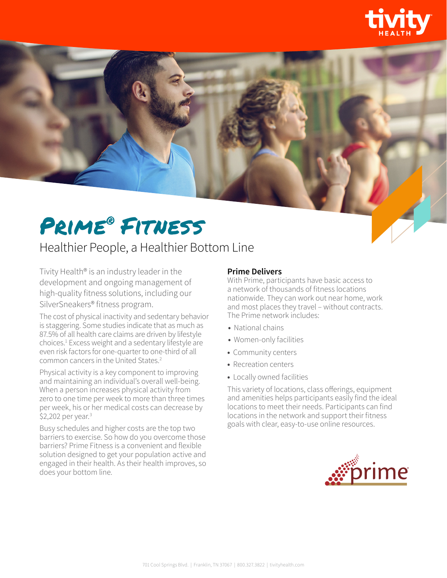



## Healthier People, a Healthier Bottom Line

Tivity Health® is an industry leader in the development and ongoing management of high-quality fitness solutions, including our SilverSneakers® fitness program.

The cost of physical inactivity and sedentary behavior is staggering. Some studies indicate that as much as 87.5% of all health care claims are driven by lifestyle choices.<sup>1</sup> Excess weight and a sedentary lifestyle are even risk factors for one-quarter to one-third of all common cancers in the United States.<sup>2</sup>

Physical activity is a key component to improving and maintaining an individual's overall well-being. When a person increases physical activity from zero to one time per week to more than three times per week, his or her medical costs can decrease by \$2,202 per year.<sup>3</sup>

Busy schedules and higher costs are the top two barriers to exercise. So how do you overcome those barriers? Prime Fitness is a convenient and flexible solution designed to get your population active and engaged in their health. As their health improves, so does your bottom line.

## **Prime Delivers**

With Prime, participants have basic access to a network of thousands of fitness locations nationwide. They can work out near home, work and most places they travel – without contracts. The Prime network includes:

- **•** National chains
- **•** Women-only facilities
- **•** Community centers
- **•** Recreation centers
- **•** Locally owned facilities

This variety of locations, class offerings, equipment and amenities helps participants easily find the ideal locations to meet their needs. Participants can find locations in the network and support their fitness goals with clear, easy-to-use online resources.